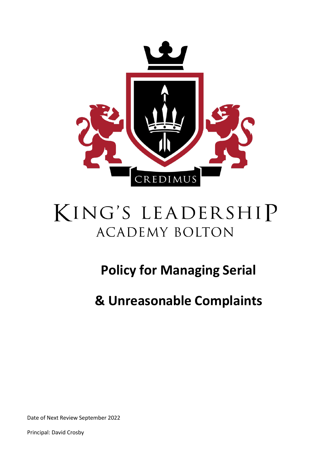

# KING'S LEADERSHIP **ACADEMY BOLTON**

# **Policy for Managing Serial**

**& Unreasonable Complaints**

Date of Next Review September 2022

Principal: David Crosby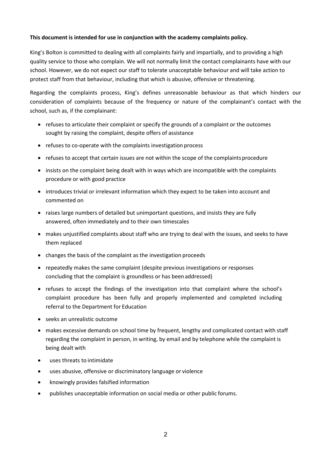#### **This document is intended for use in conjunction with the academy complaints policy.**

King's Bolton is committed to dealing with all complaints fairly and impartially, and to providing a high quality service to those who complain. We will not normally limit the contact complainants have with our school. However, we do not expect our staff to tolerate unacceptable behaviour and will take action to protect staff from that behaviour, including that which is abusive, offensive or threatening.

Regarding the complaints process, King's defines unreasonable behaviour as that which hinders our consideration of complaints because of the frequency or nature of the complainant's contact with the school, such as, if the complainant:

- refuses to articulate their complaint or specify the grounds of a complaint or the outcomes sought by raising the complaint, despite offers of assistance
- refuses to co-operate with the complaints investigation process
- refuses to accept that certain issues are not within the scope of the complaints procedure
- insists on the complaint being dealt with in ways which are incompatible with the complaints procedure or with good practice
- introduces trivial or irrelevant information which they expect to be taken into account and commented on
- raises large numbers of detailed but unimportant questions, and insists they are fully answered, often immediately and to their own timescales
- makes unjustified complaints about staff who are trying to deal with the issues, and seeks to have them replaced
- changes the basis of the complaint as the investigation proceeds
- repeatedly makes the same complaint (despite previous investigations or responses concluding that the complaint is groundless or has beenaddressed)
- refuses to accept the findings of the investigation into that complaint where the school's complaint procedure has been fully and properly implemented and completed including referral to the Department for Education
- seeks an unrealistic outcome
- makes excessive demands on school time by frequent, lengthy and complicated contact with staff regarding the complaint in person, in writing, by email and by telephone while the complaint is being dealt with
- uses threats to intimidate
- uses abusive, offensive or discriminatory language or violence
- knowingly provides falsified information
- publishes unacceptable information on social media or other public forums.